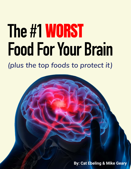# **The #1**WORST **Food For Your Brain** *(plus the top foods to protect it)*

© 2021 & beyond, Irollie Marketing Page 1

**By: Cat Ebeling & Mike Geary**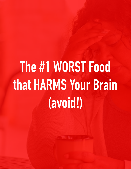# **The #1 WORST Food that HARMS Your Brain (avoid!)**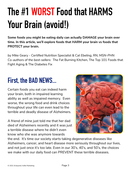## **The #1 WORST Food that HARMS Your Brain (avoid!)**

**Some foods you might be eating daily can actually DAMAGE your brain over time. In this article, we'll explore foods that HARM your brain vs foods that PROTECT your brain.**

*by Mike Geary - Certified Nutrition Specialist & Cat Ebeling, RN, MSN-PHN Co-authors of the best-sellers:* The Fat Burning Kitchen*,* The Top 101 Foods that Fight Aging *&* The Diabetes Fix

## **First, the BAD NEWS...**

Certain foods you eat can indeed harm your brain, both in impaired learning ability as well as impaired memory. Even worse, the wrong food and drink choices throughout your life can even lead to the terrible and deadly disease of Alzheimers.

A friend of mine just told me that her dad died of Alzheimers recently and it was just a terrible disease where he didn't even know who she was anymore towards



the end. It's time our society starts taking degenerative diseases like Alzheimers, cancer, and heart disease more seriously throughout our lives, and not just once it's too late. Even in our 30's, 40's, and 50's, the choices we make with our daily food can PREVENT these terrible diseases.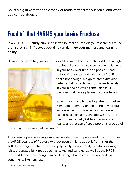So let's dig in with the topic today of foods that harm your brain, and what you can do about it...

### **Food #1 that HARMS your brain: Fructose**

In a 2012 UCLA study published in the Journal of Physiology , researchers found that a diet high in fructose over time can **damage your memory and learning ability**.

Beyond the harm to your brain, it's well known in the research world that a high



fructose diet can also cause insulin resistance in your body over time, and possibly lead to type-2 diabetes and extra body fat. If that's not enough, a high fructose diet also detrimentally affects your triglyceride levels in your blood as well as small dense LDL particles that cause plaque in your arteries.

So what we have here is high-fructose intake = impaired memory and learning in your brain, increased risk of diabetes, and increased risk of heart disease . Oh, and we forgot to mention **extra belly fat** too... Yum - who wants another can of soda pop or a large bowl

of corn syrup sweetened ice cream!

The average person eating a modern western diet of processed food consumes a LARGE quantity of fructose without even thinking about it from all of the soft drinks (high fructose corn syrup typically), sweetened juice drinks, orange juice, processed junk foods such as cakes and candies, as well as the HFCS that's added to store-bought salad dressings, breads and cereals, and even condiments like ketchup.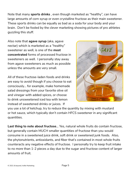Note that many **sports drinks** , even though marketed as "healthy", can have large amounts of corn syrup or even crystalline fructose as their main sweetener. These sports drinks can be equally as bad as a soda for your body and your brain. Don't be fooled by the clever marketing showing pictures of pro athletes guzzling this stuff.

Also note that **agave syrup** (aka, agave nectar) which is marketed as a "healthy" sweetener as well, is one of the **most concentrated** forms of processed fructose in sweeteners as well. I personally stay away from agave sweeteners as much as possible unless the amounts are very small.

All of these fructose-laden foods and drinks are easy to avoid though if you choose to eat consciously... for example, make homemade salad dressings from your favorite olive oil and vinegar with added spices, or choose to drink unsweetened iced tea with lemon instead of sweetened drinks or juices. If



you use a lot of ketchup, try to reduce the quantity by mixing with mustard or hot sauce, which typically don't contain HFCS sweetener in any significant quantities.

**Last thing to note about fructose**... Yes, natural whole fruits do contain fructose, but generally contain MUCH smaller quantities of fructose than you would consume in a sweetened juice drink, soft drink or sweetened junk foods. Also, the phytonutrients, antioxidants, and fiber that's contained in most whole fruits counteracts any negative effects of fructose. I personally try to keep fruit intake to no more than 1-2 pieces a day due to the sugar and fructose content of larger amounts of fruit.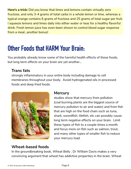**Here's a trick:** Did you know that limes and lemons contain virtually zero fructose, and only 3-4 grams of total carbs in a whole lemon or lime, whereas a typical orange contains 6 grams of fructose and 25 grams of total sugar per fruit. I squeeze lemons and limes daily into either water or teas for a healthy flavorful drink. Fresh lemon juice has even been shown to control blood sugar response from a meal...another bonus!

### **Other Foods that HARM Your Brain:**

You probably already know some of the harmful health effects of these foods, but long term effects on your brain are yet another...

#### **Trans fats**

strongly inflammatory in your entire body including damage to cell membranes throughout your body. Avoid hydrogenated oils in processed foods and deep fried foods.



#### **Mercury**

studies show that mercury from pollution (coal burning plants are the biggest source of mercury pollution to air and water) and from fish that are high on the food chain such as tuna, shark, swordfish, tilefish, etc can possibly cause long term negative effects on your brain. Limit these types of fish to a couple times a month and focus more on fish such as salmon, trout, and many other types of smaller fish to reduce your mercury load.

#### **Wheat-based foods**

In the groundbreaking book, *Wheat Belly* , Dr William Davis makes a very convincing argument that wheat has addictive properties in the brain. Wheat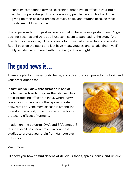contains compounds termed "exorphins" that have an effect in your brain similar to opiate drugs. This explains why people have such a hard time giving up their beloved breads, cereals, pasta, and muffins because these foods are mildly addictive.

I know personally from past experience that if I have have a pasta dinner, I'll go back for seconds and thirds as I just can't seem to stop eating the stuff. And then hours after dinner, I'll get cravings for more carb-based foods or sweets. But if I pass on the pasta and just have meat, veggies, and salad, I find myself totally satisfied after dinner with no cravings later at night.

## **The good news is...**

There are plenty of superfoods, herbs, and spices that can protect your brain and your other organs too!

In fact, did you know that **turmeric** is one of the highest antioxidant spices that also exhibits brain-protecting effects? In India, where curry containing turmeric and other spices is eaten daily, rates of Alzheimers disease is among the lowest in the world, proving some of the brainprotecting effects of turmeric.

In addition, the powerful DHA and EPA omega-3 fats in **fish oil** has been proven in countless studies to protect your brain from damage over the years.



Want more...

**I'll show you how to find dozens of delicious foods, spices, herbs, and unique**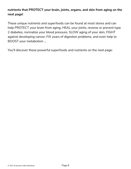#### **nutrients that PROTECT your brain, joints, organs, and skin from aging on the next page!**

These unique nutrients and superfoods can be found at most stores and can help PROTECT your brain from aging, HEAL your joints, reverse or prevent type 2 diabetes, normalize your blood pressure, SLOW aging of your skin, FIGHT against developing cancer, FIX years of digestion problems, and even help to BOOST your metabolism ...

You'll discover these powerful superfoods and nutrients on the next page: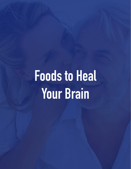**Foods to Heal Your Brain**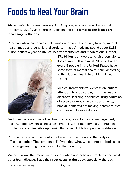## **Foods to Heal Your Brain**

Alzheimer's, depression, anxiety, OCD, bipolar, schizophrenia, behavioral problems, ADD/ADHD—the list goes on and on. **Mental health issues are increasing by the day**.

Pharmaceutical companies make massive amounts of money treating mental health, mood and behavioral disorders. In fact, Americans spend about **\$188 billion dollars** a year **on mental health treatments and medications**. Of that,



**\$71 billion** is on depressive disorders alone. It is estimated that almost 20%, or **1 out of every 5 people in the United States** have some form of mental health issue, according to the National Institute on Mental Health (2017).

Medical treatments for depression, autism, attention deficit disorder, insomnia, eating disorders, learning disabilities, drug addiction, obsessive-compulsive disorder, anxiety, bipolar, dementia are making pharmaceutical companies billions of dollars!

And then there are things like chronic stress, brain fog, anger management, anxiety, mood swings, sleep issues, irritability, and memory loss. Mental health problems are an **'invisible epidemic'** that affect 1.1 billion people worldwide.

Physicians have long held onto the belief that the brain and the body do not affect each other. The common belief was that what we put into our bodies did not change anything in our brain. **But that is wrong**.

We now know, that mood, memory, attention and behavior problems and most other brain diseases have their **root cause in the body, especially the gut**.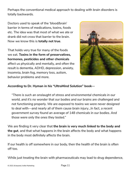Perhaps the conventional medical approach to dealing with brain disorders is totally backwards.

Doctors used to speak of the 'blood/brain' barrier in terms of medications, toxins, foods etc. The idea was that most of what we ate or drank did not cross that barrier to the brain. Now we know this is **totally not true**.

That holds very true for many of the foods we eat. **Toxins in the form of preservatives, hormones, pesticides and other chemicals** affect us physically and mentally, and often the result is dementia, ADHD, depression, anxiety, insomnia, brain fog, memory loss, autism, behavior problems and more.



#### **According to Dr. Hyman in his "UltraMind Solution" book—**

*"There is such an onslaught of stress and environmental chemicals in our world, and it's no wonder that our bodies and our brains are challenged and not functioning properly. We are exposed to toxins we were never designed to deal with—and nearly all of them cause brain injury…In fact, a recent government survey found an average of 148 chemicals in our bodies. And those were only the ones they tested."*

We are finding it very clear that **the brain is very much linked to the body and the gut**, and that what happens in the brain affects the body and what happens in the body most definitely affects the brain.

If our health is off somewhere in our body, then the health of the brain is often off too.

While just treating the brain with pharmaceuticals may lead to drug dependence,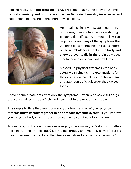a dulled reality, and **not treat the REAL problem**, treating the body's systemic **natural chemistry and gut microbiome can fix brain chemistry imbalances** and lead to genuine healing in the entire physical body.



An imbalance in any of system–nutrition, hormones, immune function, digestion, gut bacteria, detoxification, or metabolism can help to explain many of the symptoms that we think of as mental health issues. **Most of these imbalances start in the body and show up eventually in the brain** as mood, mental health or behavioral problems.

Messed up physical systems in the body actually can **clue us into explanations** for the depression, anxiety, dementia, autism, and attention deficit disorder that we see today.

Conventional treatments treat only the symptoms—often with powerful drugs that cause adverse side effects and never get to the root of the problem.

The simple truth is that your body and your brain, and all of your physical systems **must interact together in one smooth dynamic system**. If you improve your physical body's health, you improve the health of your brain as well.

To illustrate, think about this– does a sugary snack make you feel anxious, jittery, and sleepy, then irritable later? Do you feel groggy and mentally slow after a big meal? Ever exercise hard and then feel calm, relaxed and happy afterwards?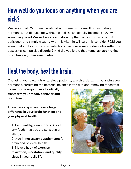## **How well do you focus on anything when you are sick?**

We know that PMS (pre-menstrual syndrome) is the result of fluctuating hormones, but did you know that alcoholics can actually become 'crazy' with something called **Wernicke's encephalopathy** that comes from vitamin B1 deficiency and simply treating with this vitamin will cure this condition? Did you know that antibiotics for strep infections can cure some children who suffer from obsessive-compulsive disorder? And did you know that **many schizophrenics often have a gluten sensitivity?**

## **Heal the body, heal the brain.**

Changing your diet, nutrients, sleep patterns, exercise, detoxing, balancing your hormones, correcting the bacterial balance in the gut, and removing foods that

cause food allergies **can all radically transform your mood, behavior and brain function.**

**These few steps can have a huge difference in your brain function and your physical health:**

1. **Eat, healthy, clean foods**. Avoid any foods that you are sensitive or allergic to.

2. Add in **necessary supplements** for brain and physical health.

3. Make a habit of **exercise, relaxation, meditation, and quality sleep** in your daily life.

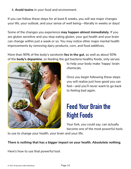4. **Avoid toxins** in your food and environment.

If you can follow these steps for at least 6 weeks, you will see major changes your life, your outlook, and your sense of well being—literally in weeks or days!

Some of the changes you experience **may happen almost immediately**. If you are gluten sensitive and you stop eating gluten, your gut health and your brain can change within just a week or so. You may notice other major mental health improvements by removing dairy products, corn, and food additives.

More than 90% of the body's serotonin **lies in the gut**, as well as about 50% of the **body's dopamine**, so feeding the gut bacteria healthy foods, only serves



to help your body make 'happy' brain chemicals.

Once you begin following these steps you will realize just how good you can feel—and you'll never want to go back to feeling bad again.

## **Feed Your Brain the Right Foods**

Your fork, you could say, can actually become one of the most powerful tools

to use to change your health, your brain and your life.

#### *There is nothing that has a bigger impact on your health. Absolutely nothing.*

Here's how to use that powerful tool: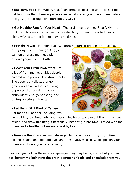**• Eat REAL Food**–Eat whole, real, fresh, organic, local and unprocessed food. If it has more than three ingredients (especially ones you do not immediately recognize), a package, or a barcode, AVOID IT.

**• Get Healthy Fats for Your Head**—The brain needs omega 3 fat DHA and EPA, which comes from algae, cold-water fatty fish and grass fed meats, along with saturated fats to stay its healthiest.

**• Protein Power**--Eat high quality, naturally sourced protein for breakfast

every day, such as omega 3 eggs, salmon or grass fed meat, plain organic yogurt, or nut butters.

**• Boost Your Brain Protectors**–Eat piles of fruit and vegetables deeply colored with powerful phytonutrients. The deep red, yellow, orange, green, and blue in foods are a sign of powerful anti-inflammatory, antioxidant, energy boosting, and brain-powering nutrients.

#### **• Eat the RIGHT Kind of Carbs**–

Eat foods full of fiber, including raw



**• Remove the Poisons**–Eliminate sugar, high-fructose corn syrup, coffee, alcohol, trans fats, food additives and preservatives, all of which poison your brain and disrupt your biochemistry.

If you can just follow these few steps—yes they may be big steps, but you can start **instantly eliminating the brain-damaging foods and chemicals from you** 

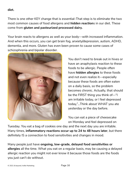**diet.**

There is one other KEY change that is essential–That step is to eliminate the two most common causes of food allergens and *hidden reaction*s in our diet. These come from **gluten and pasteurized processed dairy.**

Your brain reacts to allergens as well as your body—with increased inflammation. And when this occurs, you can get brain fog, anxiety/depression, autism, ADHD, dementia, and more. Gluten has even been proven to cause some cases of schizophrenia and bipolar disorder.



You don't need to break out in hives or have an anaphylaxis reaction to these foods to be allergic. People often have **hidden allergies** to these foods and not even realize it—especially because these foods are often eaten on a daily basis, so the problem becomes chronic. Actually, that should be the FIRST thing you think of—"I am irritable today, or I feel depressed today,"…Think about WHAT you ate yesterday or the day before.

You can eat a piece of cheesecake on Monday and feel depressed on

Tuesday. You eat a bag of cookies one day and the next day you are irritable. Many times, **inflammatory reactions occur up to 24 to 48 hours later**, but there definitely IS a connection to food sensitivities and changes in mood.

Many people just have **ongoing, low-grade, delayed food sensitivities or allergies** all the time. What you eat on a regular basis, may be causing a delayed allergic reaction you might not ever know it because those foods are the foods you just can't do without.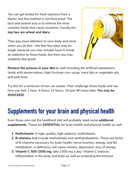You can get tested for food reactions from a doctor, but this method is not food proof. The best and easiest way is to remove the most common foods that cause reactions. Usually the **top two are wheat and dairy**.

Then pay close attention to your body and mind when you do this—the first few days may be tough, because you may actually have to break an addiction to these foods, but then you may suddenly feel great!



**Remove the poisons in your diet** as well including the artificial sweeteners, foods with preservatives, high-fructose corn syrup, trans fats or vegetable oils, and junk food.

Try this for a minimum of two-six weeks. Then challenge those foods and see how you feel, 1 hour, 4 hours, 12 hours, 24 and 48 hours later. **You may be SHOCKED!**

## **Supplements for your brain and physical health**

Even those who eat the healthiest diet will probably need some **additional supplements**. These are **ESSENTIAL** for brain health and physical health as well.

- **1. Multivitamin**–A high-quality, high-potency, multivitamin.
- **2. B vitamins** that include methylfolate and methylcobalamin. These are forms of B vitamins necessary for brain health, nerve function, energy, and fat metabolism. A deficiency will cause anxiety, depression, loss of energy.
- **3. Vitamin C 500-1000 mg**, take 1000 mg a day. Vitamin C reduces inflammation in the body and brain as well as protecting the immune